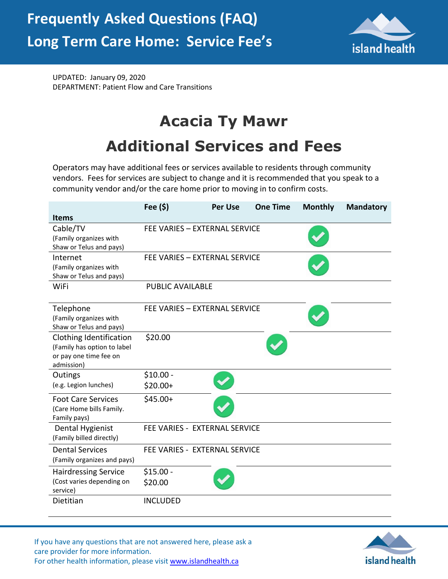

UPDATED: January 09, 2020 DEPARTMENT: Patient Flow and Care Transitions

## **Acacia Ty Mawr Additional Services and Fees**

Operators may have additional fees or services available to residents through community vendors. Fees for services are subject to change and it is recommended that you speak to a community vendor and/or the care home prior to moving in to confirm costs.

|                                                                                                | Fee (\$)                | <b>Per Use</b>                | <b>One Time</b> | <b>Monthly</b> | <b>Mandatory</b> |
|------------------------------------------------------------------------------------------------|-------------------------|-------------------------------|-----------------|----------------|------------------|
| <b>Items</b>                                                                                   |                         |                               |                 |                |                  |
| Cable/TV<br>(Family organizes with<br>Shaw or Telus and pays)                                  |                         | FEE VARIES - EXTERNAL SERVICE |                 |                |                  |
| Internet<br>(Family organizes with<br>Shaw or Telus and pays)                                  |                         | FEE VARIES - EXTERNAL SERVICE |                 |                |                  |
| WiFi                                                                                           | <b>PUBLIC AVAILABLE</b> |                               |                 |                |                  |
| Telephone<br>(Family organizes with<br>Shaw or Telus and pays)                                 |                         | FEE VARIES - EXTERNAL SERVICE |                 |                |                  |
| Clothing Identification<br>(Family has option to label<br>or pay one time fee on<br>admission) | \$20.00                 |                               |                 |                |                  |
| Outings                                                                                        | $$10.00 -$              |                               |                 |                |                  |
| (e.g. Legion lunches)                                                                          | $$20.00+$               |                               |                 |                |                  |
| <b>Foot Care Services</b><br>(Care Home bills Family.<br>Family pays)                          | $$45.00+$               |                               |                 |                |                  |
| Dental Hygienist<br>(Family billed directly)                                                   |                         | FEE VARIES - EXTERNAL SERVICE |                 |                |                  |
| <b>Dental Services</b><br>(Family organizes and pays)                                          |                         | FEE VARIES - EXTERNAL SERVICE |                 |                |                  |
| <b>Hairdressing Service</b><br>(Cost varies depending on<br>service)                           | $$15.00 -$<br>\$20.00   |                               |                 |                |                  |
| Dietitian                                                                                      | <b>INCLUDED</b>         |                               |                 |                |                  |

If you have any questions that are not answered here, please ask a care provider for more information. For other health information, please visit [www.islandhealth.ca](http://www.islandhealth.ca/)